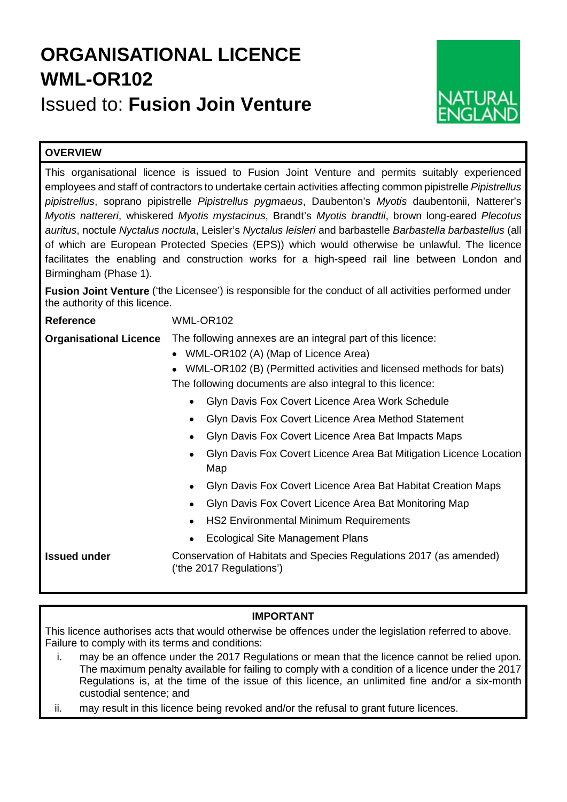# **ORGANISATIONAL LICENCE WML-OR102** Issued to: **Fusion Join Venture**



# **OVERVIEW**

This organisational licence is issued to Fusion Joint Venture and permits suitably experienced employees and staff of contractors to undertake certain activities affecting common pipistrelle *Pipistrellus pipistrellus*, soprano pipistrelle *Pipistrellus pygmaeus*, Daubenton's *Myotis* daubentonii, Natterer's *Myotis nattereri*, whiskered *Myotis mystacinus*, Brandt's *Myotis brandtii*, brown long-eared *Plecotus auritus*, noctule *Nyctalus noctula*, Leisler's *Nyctalus leisleri* and barbastelle *Barbastella barbastellus* (all of which are European Protected Species (EPS)) which would otherwise be unlawful. The licence facilitates the enabling and construction works for a high-speed rail line between London and Birmingham (Phase 1).

**Fusion Joint Venture** ('the Licensee') is responsible for the conduct of all activities performed under the authority of this licence.

**Reference** WML-OR102

**Organisational Licence** The following annexes are an integral part of this licence:

- WML-OR102 (A) (Map of Licence Area)
- WML-OR102 (B) (Permitted activities and licensed methods for bats) The following documents are also integral to this licence:
	- Glyn Davis Fox Covert Licence Area Work Schedule
	- Glyn Davis Fox Covert Licence Area Method Statement
	- Glyn Davis Fox Covert Licence Area Bat Impacts Maps
	- Glyn Davis Fox Covert Licence Area Bat Mitigation Licence Location Map
	- Glyn Davis Fox Covert Licence Area Bat Habitat Creation Maps
	- Glyn Davis Fox Covert Licence Area Bat Monitoring Map
	- HS2 Environmental Minimum Requirements
	- Ecological Site Management Plans

**Issued under Conservation of Habitats and Species Regulations 2017 (as amended)** ('the 2017 Regulations')

# **IMPORTANT**

This licence authorises acts that would otherwise be offences under the legislation referred to above. Failure to comply with its terms and conditions:

- i. may be an offence under the 2017 Regulations or mean that the licence cannot be relied upon. The maximum penalty available for failing to comply with a condition of a licence under the 2017 Regulations is, at the time of the issue of this licence, an unlimited fine and/or a six-month custodial sentence; and
- ii. may result in this licence being revoked and/or the refusal to grant future licences.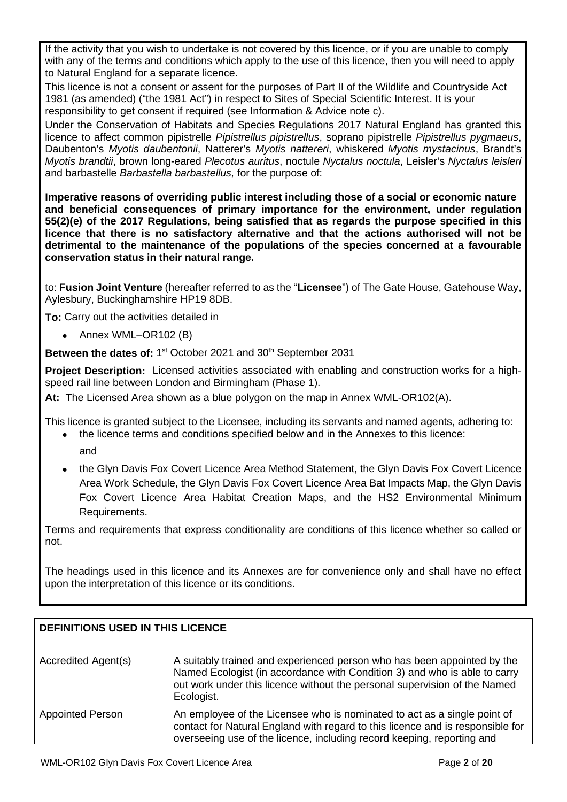If the activity that you wish to undertake is not covered by this licence, or if you are unable to comply with any of the terms and conditions which apply to the use of this licence, then you will need to apply to Natural England for a separate licence.

This licence is not a consent or assent for the purposes of Part II of the Wildlife and Countryside Act 1981 (as amended) ("the 1981 Act") in respect to Sites of Special Scientific Interest. It is your responsibility to get consent if required (see Information & Advice note c).

Under the Conservation of Habitats and Species Regulations 2017 Natural England has granted this licence to affect common pipistrelle *Pipistrellus pipistrellus*, soprano pipistrelle *Pipistrellus pygmaeus*, Daubenton's *Myotis daubentonii*, Natterer's *Myotis nattereri*, whiskered *Myotis mystacinus*, Brandt's *Myotis brandtii*, brown long-eared *Plecotus auritus*, noctule *Nyctalus noctula*, Leisler's *Nyctalus leisleri* and barbastelle *Barbastella barbastellus,* for the purpose of:

**Imperative reasons of overriding public interest including those of a social or economic nature and beneficial consequences of primary importance for the environment, under regulation 55(2)(e) of the 2017 Regulations, being satisfied that as regards the purpose specified in this licence that there is no satisfactory alternative and that the actions authorised will not be detrimental to the maintenance of the populations of the species concerned at a favourable conservation status in their natural range.**

to: **Fusion Joint Venture** (hereafter referred to as the "**Licensee**") of The Gate House, Gatehouse Way, Aylesbury, Buckinghamshire HP19 8DB.

**To:** Carry out the activities detailed in

• Annex WML–OR102 (B)

**Between the dates of: 1<sup>st</sup> October 2021 and 30<sup>th</sup> September 2031** 

**Project Description:** Licensed activities associated with enabling and construction works for a highspeed rail line between London and Birmingham (Phase 1).

**At:** The Licensed Area shown as a blue polygon on the map in Annex WML-OR102(A).

This licence is granted subject to the Licensee, including its servants and named agents, adhering to:

- the licence terms and conditions specified below and in the Annexes to this licence: and
- the Glyn Davis Fox Covert Licence Area Method Statement, the Glyn Davis Fox Covert Licence Area Work Schedule, the Glyn Davis Fox Covert Licence Area Bat Impacts Map, the Glyn Davis Fox Covert Licence Area Habitat Creation Maps, and the HS2 Environmental Minimum Requirements.

Terms and requirements that express conditionality are conditions of this licence whether so called or not.

The headings used in this licence and its Annexes are for convenience only and shall have no effect upon the interpretation of this licence or its conditions.

# **DEFINITIONS USED IN THIS LICENCE**

| Accredited Agent(s)     | A suitably trained and experienced person who has been appointed by the<br>Named Ecologist (in accordance with Condition 3) and who is able to carry<br>out work under this licence without the personal supervision of the Named<br>Ecologist. |
|-------------------------|-------------------------------------------------------------------------------------------------------------------------------------------------------------------------------------------------------------------------------------------------|
| <b>Appointed Person</b> | An employee of the Licensee who is nominated to act as a single point of<br>contact for Natural England with regard to this licence and is responsible for<br>overseeing use of the licence, including record keeping, reporting and            |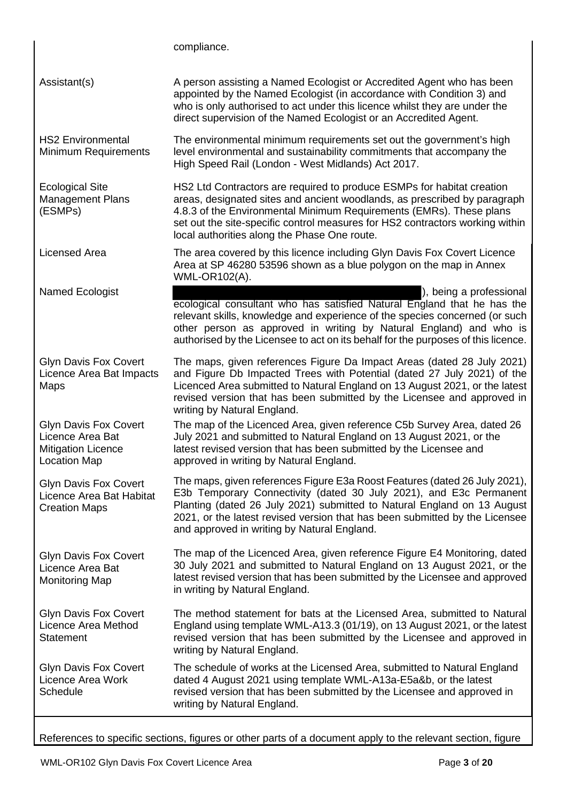compliance. Assistant(s) A person assisting a Named Ecologist or Accredited Agent who has been appointed by the Named Ecologist (in accordance with Condition 3) and who is only authorised to act under this licence whilst they are under the direct supervision of the Named Ecologist or an Accredited Agent. HS2 Environmental Minimum Requirements The environmental minimum requirements set out the government's high level environmental and sustainability commitments that accompany the High Speed Rail (London - West Midlands) Act 2017. Ecological Site Management Plans (ESMPs) HS2 Ltd Contractors are required to produce ESMPs for habitat creation areas, designated sites and ancient woodlands, as prescribed by paragraph 4.8.3 of the Environmental Minimum Requirements (EMRs). These plans set out the site-specific control measures for HS2 contractors working within local authorities along the Phase One route. Licensed Area The area covered by this licence including Glyn Davis Fox Covert Licence Area at SP 46280 53596 shown as a blue polygon on the map in Annex WML-OR102(A). Named Ecologist **Contains a professional** and  $\overline{a}$  (i.e.,  $\overline{b}$ ), being a professional ecological consultant who has satisfied Natural England that he has the relevant skills, knowledge and experience of the species concerned (or such other person as approved in writing by Natural England) and who is authorised by the Licensee to act on its behalf for the purposes of this licence. Glyn Davis Fox Covert Licence Area Bat Impacts Maps The maps, given references Figure Da Impact Areas (dated 28 July 2021) and Figure Db Impacted Trees with Potential (dated 27 July 2021) of the Licenced Area submitted to Natural England on 13 August 2021, or the latest revised version that has been submitted by the Licensee and approved in writing by Natural England. Glyn Davis Fox Covert Licence Area Bat Mitigation Licence Location Map The map of the Licenced Area, given reference C5b Survey Area, dated 26 July 2021 and submitted to Natural England on 13 August 2021, or the latest revised version that has been submitted by the Licensee and approved in writing by Natural England. Glyn Davis Fox Covert Licence Area Bat Habitat Creation Maps The maps, given references Figure E3a Roost Features (dated 26 July 2021), E3b Temporary Connectivity (dated 30 July 2021), and E3c Permanent Planting (dated 26 July 2021) submitted to Natural England on 13 August 2021, or the latest revised version that has been submitted by the Licensee and approved in writing by Natural England. Glyn Davis Fox Covert Licence Area Bat Monitoring Map The map of the Licenced Area, given reference Figure E4 Monitoring, dated 30 July 2021 and submitted to Natural England on 13 August 2021, or the latest revised version that has been submitted by the Licensee and approved in writing by Natural England. Glyn Davis Fox Covert Licence Area Method **Statement** The method statement for bats at the Licensed Area, submitted to Natural England using template WML-A13.3 (01/19), on 13 August 2021, or the latest revised version that has been submitted by the Licensee and approved in writing by Natural England. Glyn Davis Fox Covert Licence Area Work **Schedule** The schedule of works at the Licensed Area, submitted to Natural England dated 4 August 2021 using template WML-A13a-E5a&b, or the latest revised version that has been submitted by the Licensee and approved in writing by Natural England.

References to specific sections, figures or other parts of a document apply to the relevant section, figure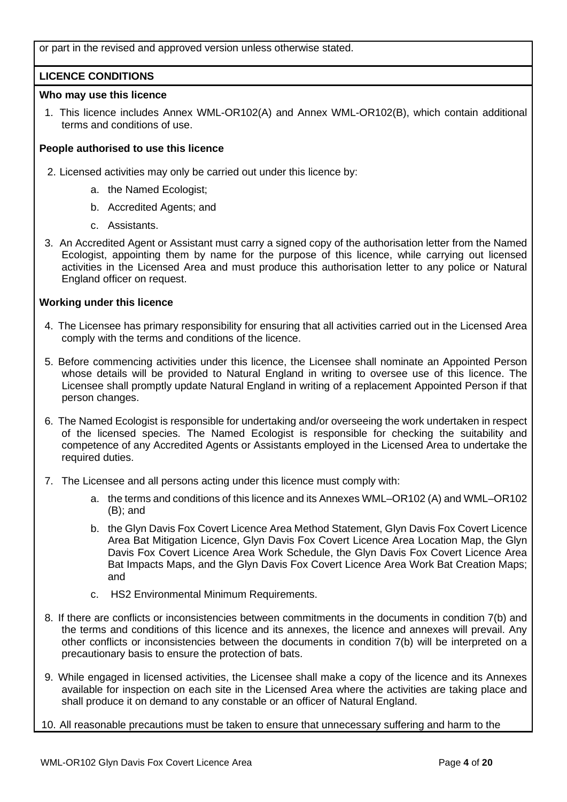or part in the revised and approved version unless otherwise stated.

## **LICENCE CONDITIONS**

## **Who may use this licence**

1. This licence includes Annex WML-OR102(A) and Annex WML-OR102(B), which contain additional terms and conditions of use.

## **People authorised to use this licence**

- 2. Licensed activities may only be carried out under this licence by:
	- a. the Named Ecologist;
	- b. Accredited Agents; and
	- c. Assistants.
- 3. An Accredited Agent or Assistant must carry a signed copy of the authorisation letter from the Named Ecologist, appointing them by name for the purpose of this licence, while carrying out licensed activities in the Licensed Area and must produce this authorisation letter to any police or Natural England officer on request.

## **Working under this licence**

- 4. The Licensee has primary responsibility for ensuring that all activities carried out in the Licensed Area comply with the terms and conditions of the licence.
- 5. Before commencing activities under this licence, the Licensee shall nominate an Appointed Person whose details will be provided to Natural England in writing to oversee use of this licence. The Licensee shall promptly update Natural England in writing of a replacement Appointed Person if that person changes.
- 6. The Named Ecologist is responsible for undertaking and/or overseeing the work undertaken in respect of the licensed species. The Named Ecologist is responsible for checking the suitability and competence of any Accredited Agents or Assistants employed in the Licensed Area to undertake the required duties.
- 7. The Licensee and all persons acting under this licence must comply with:
	- a. the terms and conditions of this licence and its Annexes WML–OR102 (A) and WML–OR102 (B); and
	- b. the Glyn Davis Fox Covert Licence Area Method Statement, Glyn Davis Fox Covert Licence Area Bat Mitigation Licence, Glyn Davis Fox Covert Licence Area Location Map, the Glyn Davis Fox Covert Licence Area Work Schedule, the Glyn Davis Fox Covert Licence Area Bat Impacts Maps, and the Glyn Davis Fox Covert Licence Area Work Bat Creation Maps; and
	- c. HS2 Environmental Minimum Requirements.
- 8. If there are conflicts or inconsistencies between commitments in the documents in condition 7(b) and the terms and conditions of this licence and its annexes, the licence and annexes will prevail. Any other conflicts or inconsistencies between the documents in condition 7(b) will be interpreted on a precautionary basis to ensure the protection of bats.
- 9. While engaged in licensed activities, the Licensee shall make a copy of the licence and its Annexes available for inspection on each site in the Licensed Area where the activities are taking place and shall produce it on demand to any constable or an officer of Natural England.
- 10. All reasonable precautions must be taken to ensure that unnecessary suffering and harm to the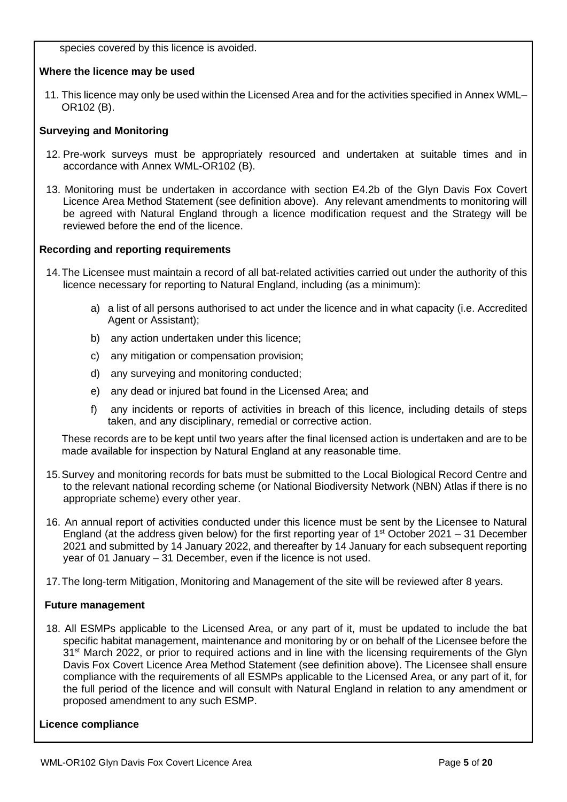species covered by this licence is avoided.

## **Where the licence may be used**

11. This licence may only be used within the Licensed Area and for the activities specified in Annex WML– OR102 (B).

## **Surveying and Monitoring**

- 12. Pre-work surveys must be appropriately resourced and undertaken at suitable times and in accordance with Annex WML-OR102 (B).
- 13. Monitoring must be undertaken in accordance with section E4.2b of the Glyn Davis Fox Covert Licence Area Method Statement (see definition above). Any relevant amendments to monitoring will be agreed with Natural England through a licence modification request and the Strategy will be reviewed before the end of the licence.

## **Recording and reporting requirements**

- 14.The Licensee must maintain a record of all bat-related activities carried out under the authority of this licence necessary for reporting to Natural England, including (as a minimum):
	- a) a list of all persons authorised to act under the licence and in what capacity (i.e. Accredited Agent or Assistant);
	- b) any action undertaken under this licence;
	- c) any mitigation or compensation provision;
	- d) any surveying and monitoring conducted;
	- e) any dead or injured bat found in the Licensed Area; and
	- f) any incidents or reports of activities in breach of this licence, including details of steps taken, and any disciplinary, remedial or corrective action.

These records are to be kept until two years after the final licensed action is undertaken and are to be made available for inspection by Natural England at any reasonable time.

- 15.Survey and monitoring records for bats must be submitted to the Local Biological Record Centre and to the relevant national recording scheme (or National Biodiversity Network (NBN) Atlas if there is no appropriate scheme) every other year.
- 16. An annual report of activities conducted under this licence must be sent by the Licensee to Natural England (at the address given below) for the first reporting year of  $1<sup>st</sup>$  October 2021 – 31 December 2021 and submitted by 14 January 2022, and thereafter by 14 January for each subsequent reporting year of 01 January – 31 December, even if the licence is not used.
- 17.The long-term Mitigation, Monitoring and Management of the site will be reviewed after 8 years.

### **Future management**

18. All ESMPs applicable to the Licensed Area, or any part of it, must be updated to include the bat specific habitat management, maintenance and monitoring by or on behalf of the Licensee before the 31<sup>st</sup> March 2022, or prior to required actions and in line with the licensing requirements of the Glyn Davis Fox Covert Licence Area Method Statement (see definition above). The Licensee shall ensure compliance with the requirements of all ESMPs applicable to the Licensed Area, or any part of it, for the full period of the licence and will consult with Natural England in relation to any amendment or proposed amendment to any such ESMP.

### **Licence compliance**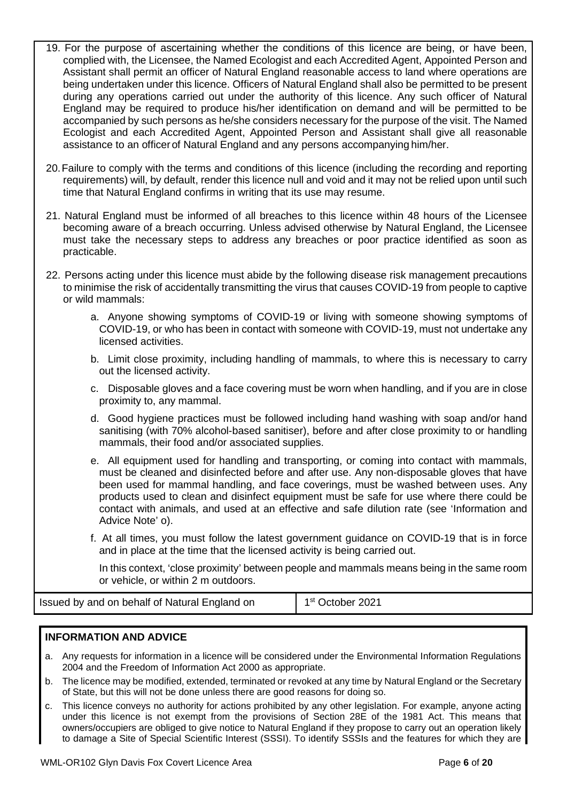- 19. For the purpose of ascertaining whether the conditions of this licence are being, or have been, complied with, the Licensee, the Named Ecologist and each Accredited Agent, Appointed Person and Assistant shall permit an officer of Natural England reasonable access to land where operations are being undertaken under this licence. Officers of Natural England shall also be permitted to be present during any operations carried out under the authority of this licence. Any such officer of Natural England may be required to produce his/her identification on demand and will be permitted to be accompanied by such persons as he/she considers necessary for the purpose of the visit. The Named Ecologist and each Accredited Agent, Appointed Person and Assistant shall give all reasonable assistance to an officerof Natural England and any persons accompanying him/her.
- 20.Failure to comply with the terms and conditions of this licence (including the recording and reporting requirements) will, by default, render this licence null and void and it may not be relied upon until such time that Natural England confirms in writing that its use may resume.
- 21. Natural England must be informed of all breaches to this licence within 48 hours of the Licensee becoming aware of a breach occurring. Unless advised otherwise by Natural England, the Licensee must take the necessary steps to address any breaches or poor practice identified as soon as practicable.
- 22. Persons acting under this licence must abide by the following disease risk management precautions to minimise the risk of accidentally transmitting the virus that causes COVID-19 from people to captive or wild mammals:
	- a. Anyone showing symptoms of COVID-19 or living with someone showing symptoms of COVID-19, or who has been in contact with someone with COVID-19, must not undertake any licensed activities.
	- b. Limit close proximity, including handling of mammals, to where this is necessary to carry out the licensed activity.
	- c. Disposable gloves and a face covering must be worn when handling, and if you are in close proximity to, any mammal.
	- d. Good hygiene practices must be followed including hand washing with soap and/or hand sanitising (with 70% alcohol-based sanitiser), before and after close proximity to or handling mammals, their food and/or associated supplies.
	- e. All equipment used for handling and transporting, or coming into contact with mammals, must be cleaned and disinfected before and after use. Any non-disposable gloves that have been used for mammal handling, and face coverings, must be washed between uses. Any products used to clean and disinfect equipment must be safe for use where there could be contact with animals, and used at an effective and safe dilution rate (see 'Information and Advice Note' o).
	- f. At all times, you must follow the latest government guidance on COVID-19 that is in force and in place at the time that the licensed activity is being carried out.

In this context, 'close proximity' between people and mammals means being in the same room or vehicle, or within 2 m outdoors.

**Issued by and on behalf of Natural England on 1st October 2021** 

# **INFORMATION AND ADVICE**

- a. Any requests for information in a licence will be considered under the Environmental Information Regulations 2004 and the Freedom of Information Act 2000 as appropriate.
- b. The licence may be modified, extended, terminated or revoked at any time by Natural England or the Secretary of State, but this will not be done unless there are good reasons for doing so.
- c. This licence conveys no authority for actions prohibited by any other legislation. For example, anyone acting under this licence is not exempt from the provisions of Section 28E of the 1981 Act. This means that owners/occupiers are obliged to give notice to Natural England if they propose to carry out an operation likely to damage a Site of Special Scientific Interest (SSSI). To identify SSSIs and the features for which they are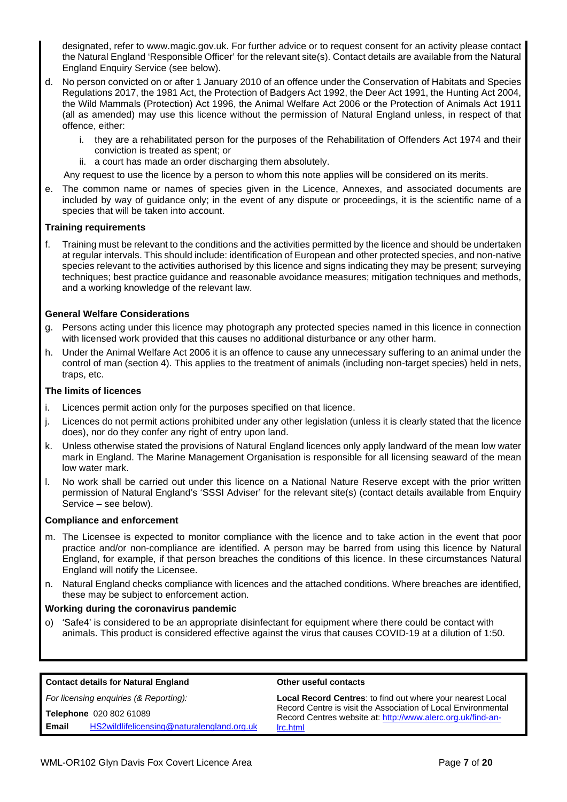designated, refer to www.magic.gov.uk. For further advice or to request consent for an activity please contact the Natural England 'Responsible Officer' for the relevant site(s). Contact details are available from the Natural England Enquiry Service (see below).

- d. No person convicted on or after 1 January 2010 of an offence under the Conservation of Habitats and Species Regulations 2017, the 1981 Act, the Protection of Badgers Act 1992, the Deer Act 1991, the Hunting Act 2004, the Wild Mammals (Protection) Act 1996, the Animal Welfare Act 2006 or the Protection of Animals Act 1911 (all as amended) may use this licence without the permission of Natural England unless, in respect of that offence, either:
	- i. they are a rehabilitated person for the purposes of the Rehabilitation of Offenders Act 1974 and their conviction is treated as spent; or
	- ii. a court has made an order discharging them absolutely.

Any request to use the licence by a person to whom this note applies will be considered on its merits.

e. The common name or names of species given in the Licence, Annexes, and associated documents are included by way of guidance only; in the event of any dispute or proceedings, it is the scientific name of a species that will be taken into account.

### **Training requirements**

f. Training must be relevant to the conditions and the activities permitted by the licence and should be undertaken at regular intervals. This should include: identification of European and other protected species, and non-native species relevant to the activities authorised by this licence and signs indicating they may be present; surveying techniques; best practice guidance and reasonable avoidance measures; mitigation techniques and methods, and a working knowledge of the relevant law.

### **General Welfare Considerations**

- g. Persons acting under this licence may photograph any protected species named in this licence in connection with licensed work provided that this causes no additional disturbance or any other harm.
- h. Under the Animal Welfare Act 2006 it is an offence to cause any unnecessary suffering to an animal under the control of man (section 4). This applies to the treatment of animals (including non-target species) held in nets, traps, etc.

### **The limits of licences**

- i. Licences permit action only for the purposes specified on that licence.
- j. Licences do not permit actions prohibited under any other legislation (unless it is clearly stated that the licence does), nor do they confer any right of entry upon land.
- k. Unless otherwise stated the provisions of Natural England licences only apply landward of the mean low water mark in England. The Marine Management Organisation is responsible for all licensing seaward of the mean low water mark.
- l. No work shall be carried out under this licence on a National Nature Reserve except with the prior written permission of Natural England's 'SSSI Adviser' for the relevant site(s) (contact details available from Enquiry Service – see below).

#### **Compliance and enforcement**

- m. The Licensee is expected to monitor compliance with the licence and to take action in the event that poor practice and/or non-compliance are identified. A person may be barred from using this licence by Natural England, for example, if that person breaches the conditions of this licence. In these circumstances Natural England will notify the Licensee.
- n. Natural England checks compliance with licences and the attached conditions. Where breaches are identified, these may be subject to enforcement action.

#### **Working during the coronavirus pandemic**

o) 'Safe4' is considered to be an appropriate disinfectant for equipment where there could be contact with animals. This product is considered effective against the virus that causes COVID-19 at a dilution of 1:50.

| <b>Contact details for Natural England</b>          | Other useful contacts                                                                                                        |  |  |  |
|-----------------------------------------------------|------------------------------------------------------------------------------------------------------------------------------|--|--|--|
| For licensing enquiries (& Reporting):              | <b>Local Record Centres: to find out where your nearest Local</b>                                                            |  |  |  |
| Telephone 020 802 61089                             | Record Centre is visit the Association of Local Environmental<br>Record Centres website at: http://www.alerc.org.uk/find-an- |  |  |  |
| HS2wildlifelicensing@naturalengland.org.uk<br>Email | Irc.html                                                                                                                     |  |  |  |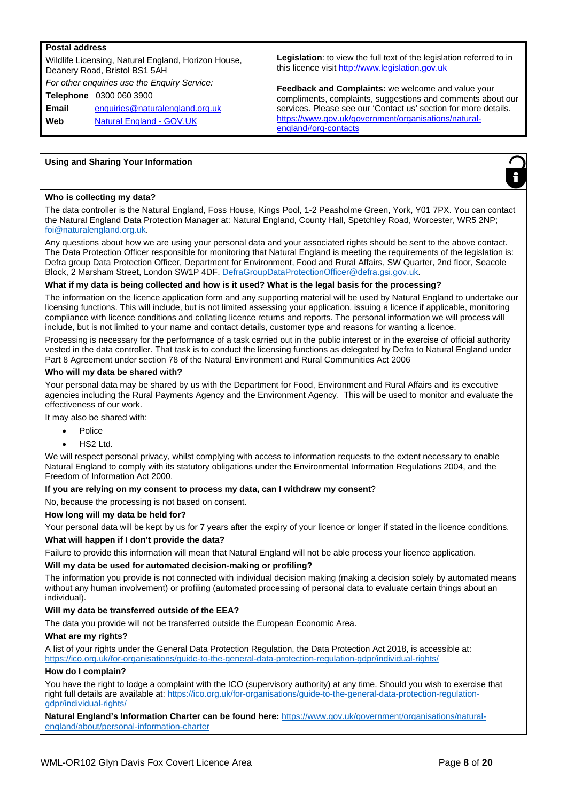#### **Postal address**

Wildlife Licensing, Natural England, Horizon House, Deanery Road, Bristol BS1 5AH *For other enquiries use the Enquiry Service:* **Telephone** 0300 060 3900 **Email** enquiries@naturalengland.org.uk **Web** Natural England - GOV.UK

**Legislation**: to view the full text of the legislation referred to in this licence visit http://www.legislation.gov.uk

**Feedback and Complaints:** we welcome and value your compliments, complaints, suggestions and comments about our services. Please see our 'Contact us' section for more details. https://www.gov.uk/government/organisations/naturalengland#org-contacts

#### **Using and Sharing Your Information**



#### **Who is collecting my data?**

The data controller is the Natural England, Foss House, Kings Pool, 1-2 Peasholme Green, York, Y01 7PX. You can contact the Natural England Data Protection Manager at: Natural England, County Hall, Spetchley Road, Worcester, WR5 2NP; foi@naturalengland.org.uk.

Any questions about how we are using your personal data and your associated rights should be sent to the above contact. The Data Protection Officer responsible for monitoring that Natural England is meeting the requirements of the legislation is: Defra group Data Protection Officer, Department for Environment, Food and Rural Affairs, SW Quarter, 2nd floor, Seacole Block, 2 Marsham Street, London SW1P 4DF. DefraGroupDataProtectionOfficer@defra.gsi.gov.uk.

#### **What if my data is being collected and how is it used? What is the legal basis for the processing?**

The information on the licence application form and any supporting material will be used by Natural England to undertake our licensing functions. This will include, but is not limited assessing your application, issuing a licence if applicable, monitoring compliance with licence conditions and collating licence returns and reports. The personal information we will process will include, but is not limited to your name and contact details, customer type and reasons for wanting a licence.

Processing is necessary for the performance of a task carried out in the public interest or in the exercise of official authority vested in the data controller. That task is to conduct the licensing functions as delegated by Defra to Natural England under Part 8 Agreement under section 78 of the Natural Environment and Rural Communities Act 2006

#### **Who will my data be shared with?**

Your personal data may be shared by us with the Department for Food, Environment and Rural Affairs and its executive agencies including the Rural Payments Agency and the Environment Agency. This will be used to monitor and evaluate the effectiveness of our work.

It may also be shared with:

- Police
- HS2 Ltd.

We will respect personal privacy, whilst complying with access to information requests to the extent necessary to enable Natural England to comply with its statutory obligations under the Environmental Information Regulations 2004, and the Freedom of Information Act 2000.

#### **If you are relying on my consent to process my data, can I withdraw my consent**?

No, because the processing is not based on consent.

#### **How long will my data be held for?**

Your personal data will be kept by us for 7 years after the expiry of your licence or longer if stated in the licence conditions.

#### **What will happen if I don't provide the data?**

Failure to provide this information will mean that Natural England will not be able process your licence application.

#### **Will my data be used for automated decision-making or profiling?**

The information you provide is not connected with individual decision making (making a decision solely by automated means without any human involvement) or profiling (automated processing of personal data to evaluate certain things about an individual).

#### **Will my data be transferred outside of the EEA?**

The data you provide will not be transferred outside the European Economic Area.

#### **What are my rights?**

A list of your rights under the General Data Protection Regulation, the Data Protection Act 2018, is accessible at: https://ico.org.uk/for-organisations/guide-to-the-general-data-protection-regulation-gdpr/individual-rights/

#### **How do I complain?**

You have the right to lodge a complaint with the ICO (supervisory authority) at any time. Should you wish to exercise that right full details are available at: https://ico.org.uk/for-organisations/guide-to-the-general-data-protection-regulationgdpr/individual-rights/

**Natural England's Information Charter can be found here:** https://www.gov.uk/government/organisations/naturalengland/about/personal-information-charter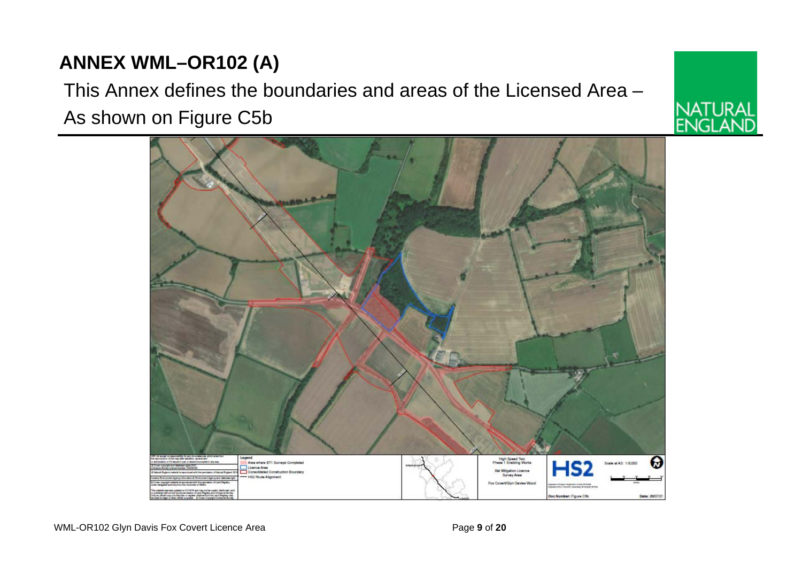# **ANNEX WML–OR102 (A)**

# This Annex defines the boundaries and areas of the Licensed Area – As shown on Figure C5b



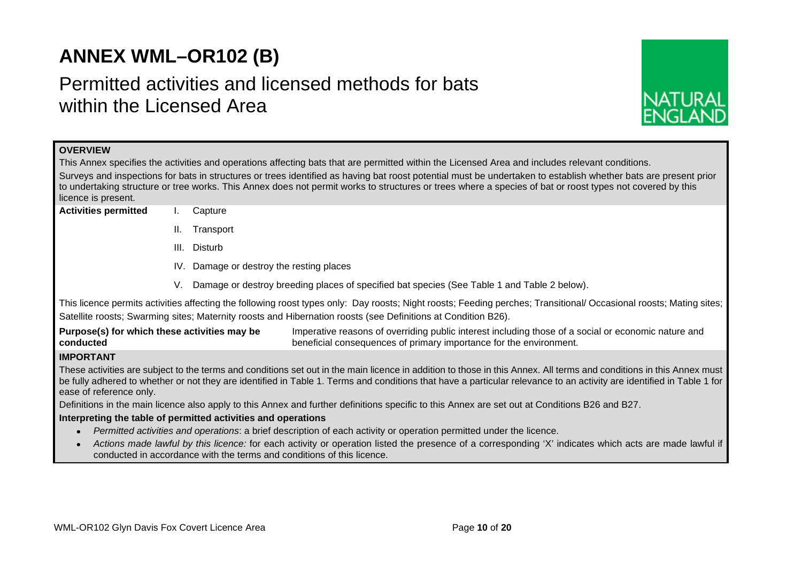# **ANNEX WML–OR102 (B)**

# Permitted activities and licensed methods for bats within the Licensed Area



| <b>OVERVIEW</b>                                                                                                                                                                                                                                                                                                                                                          |                                                                                                                                                                                                                                                                                      |  |  |  |  |  |  |  |  |
|--------------------------------------------------------------------------------------------------------------------------------------------------------------------------------------------------------------------------------------------------------------------------------------------------------------------------------------------------------------------------|--------------------------------------------------------------------------------------------------------------------------------------------------------------------------------------------------------------------------------------------------------------------------------------|--|--|--|--|--|--|--|--|
| This Annex specifies the activities and operations affecting bats that are permitted within the Licensed Area and includes relevant conditions.                                                                                                                                                                                                                          |                                                                                                                                                                                                                                                                                      |  |  |  |  |  |  |  |  |
|                                                                                                                                                                                                                                                                                                                                                                          | Surveys and inspections for bats in structures or trees identified as having bat roost potential must be undertaken to establish whether bats are present prior                                                                                                                      |  |  |  |  |  |  |  |  |
| licence is present.                                                                                                                                                                                                                                                                                                                                                      | to undertaking structure or tree works. This Annex does not permit works to structures or trees where a species of bat or roost types not covered by this                                                                                                                            |  |  |  |  |  |  |  |  |
| <b>Activities permitted</b>                                                                                                                                                                                                                                                                                                                                              | Capture                                                                                                                                                                                                                                                                              |  |  |  |  |  |  |  |  |
|                                                                                                                                                                                                                                                                                                                                                                          | ΙΙ.<br>Transport                                                                                                                                                                                                                                                                     |  |  |  |  |  |  |  |  |
|                                                                                                                                                                                                                                                                                                                                                                          |                                                                                                                                                                                                                                                                                      |  |  |  |  |  |  |  |  |
|                                                                                                                                                                                                                                                                                                                                                                          | Disturb<br>III.                                                                                                                                                                                                                                                                      |  |  |  |  |  |  |  |  |
|                                                                                                                                                                                                                                                                                                                                                                          | IV. Damage or destroy the resting places                                                                                                                                                                                                                                             |  |  |  |  |  |  |  |  |
|                                                                                                                                                                                                                                                                                                                                                                          | Damage or destroy breeding places of specified bat species (See Table 1 and Table 2 below).<br>V.                                                                                                                                                                                    |  |  |  |  |  |  |  |  |
|                                                                                                                                                                                                                                                                                                                                                                          | This licence permits activities affecting the following roost types only: Day roosts; Night roosts; Feeding perches; Transitional/ Occasional roosts; Mating sites;<br>Satellite roosts; Swarming sites; Maternity roosts and Hibernation roosts (see Definitions at Condition B26). |  |  |  |  |  |  |  |  |
| Purpose(s) for which these activities may be<br>conducted                                                                                                                                                                                                                                                                                                                | Imperative reasons of overriding public interest including those of a social or economic nature and<br>beneficial consequences of primary importance for the environment.                                                                                                            |  |  |  |  |  |  |  |  |
| <b>IMPORTANT</b>                                                                                                                                                                                                                                                                                                                                                         |                                                                                                                                                                                                                                                                                      |  |  |  |  |  |  |  |  |
| These activities are subject to the terms and conditions set out in the main licence in addition to those in this Annex. All terms and conditions in this Annex must<br>be fully adhered to whether or not they are identified in Table 1. Terms and conditions that have a particular relevance to an activity are identified in Table 1 for<br>ease of reference only. |                                                                                                                                                                                                                                                                                      |  |  |  |  |  |  |  |  |
|                                                                                                                                                                                                                                                                                                                                                                          | Definitions in the main licence also apply to this Annex and further definitions specific to this Annex are set out at Conditions B26 and B27.                                                                                                                                       |  |  |  |  |  |  |  |  |
|                                                                                                                                                                                                                                                                                                                                                                          | Interpreting the table of permitted activities and operations                                                                                                                                                                                                                        |  |  |  |  |  |  |  |  |
|                                                                                                                                                                                                                                                                                                                                                                          | Permitted activities and operations: a brief description of each activity or operation permitted under the licence.                                                                                                                                                                  |  |  |  |  |  |  |  |  |
|                                                                                                                                                                                                                                                                                                                                                                          | Actions made lawful by this licence: for each activity or operation listed the presence of a corresponding 'X' indicates which acts are made lawful if<br>conducted in accordance with the terms and conditions of this licence.                                                     |  |  |  |  |  |  |  |  |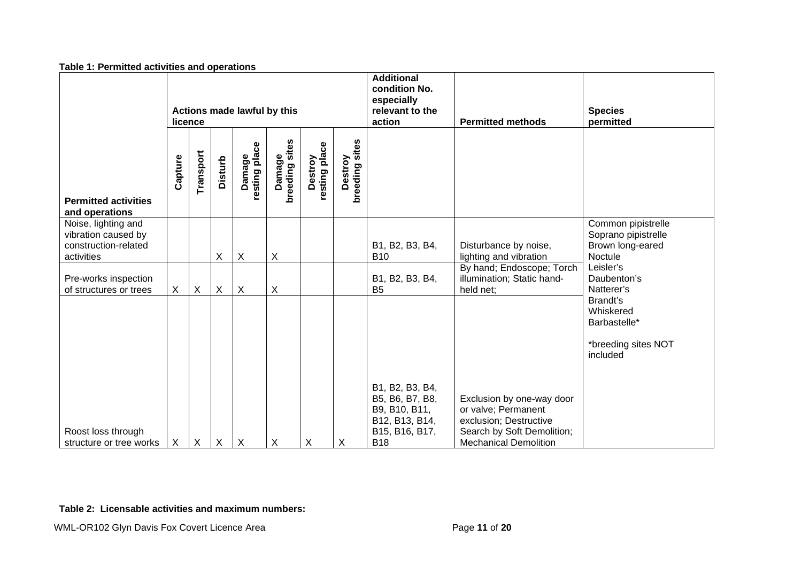|                                                                                  | Actions made lawful by this<br>licence |              |                           |                           |                          |                          |                           | <b>Additional</b><br>condition No.<br>especially<br>relevant to the<br>action           | <b>Permitted methods</b>                                                                                 | <b>Species</b><br>permitted                                              |
|----------------------------------------------------------------------------------|----------------------------------------|--------------|---------------------------|---------------------------|--------------------------|--------------------------|---------------------------|-----------------------------------------------------------------------------------------|----------------------------------------------------------------------------------------------------------|--------------------------------------------------------------------------|
| <b>Permitted activities</b><br>and operations                                    | Capture                                | Transport    | <b>Disturb</b>            | resting place<br>Damage   | Damage<br>breeding sites | resting place<br>Destroy | breeding sites<br>Destroy |                                                                                         |                                                                                                          |                                                                          |
| Noise, lighting and<br>vibration caused by<br>construction-related<br>activities |                                        |              | X                         | $\times$                  | $\sf X$                  |                          |                           | B1, B2, B3, B4,<br><b>B10</b>                                                           | Disturbance by noise,<br>lighting and vibration                                                          | Common pipistrelle<br>Soprano pipistrelle<br>Brown long-eared<br>Noctule |
| Pre-works inspection<br>of structures or trees                                   | $\mathsf{X}$                           | $\mathsf X$  | $\boldsymbol{\mathsf{X}}$ | $\boldsymbol{\mathsf{X}}$ | $\times$                 |                          |                           | B1, B2, B3, B4,<br>B <sub>5</sub>                                                       | By hand; Endoscope; Torch<br>illumination; Static hand-<br>held net;                                     | Leisler's<br>Daubenton's<br>Natterer's                                   |
|                                                                                  |                                        |              |                           |                           |                          |                          |                           |                                                                                         |                                                                                                          | Brandt's<br>Whiskered<br>Barbastelle*                                    |
|                                                                                  |                                        |              |                           |                           |                          |                          |                           |                                                                                         |                                                                                                          | *breeding sites NOT<br>included                                          |
| Roost loss through                                                               |                                        |              |                           |                           |                          |                          |                           | B1, B2, B3, B4,<br>B5, B6, B7, B8,<br>B9, B10, B11,<br>B12, B13, B14,<br>B15, B16, B17, | Exclusion by one-way door<br>or valve; Permanent<br>exclusion; Destructive<br>Search by Soft Demolition; |                                                                          |
| structure or tree works                                                          | X                                      | $\mathsf{X}$ | $\sf X$                   | $\sf X$                   | $\times$                 | X                        | X                         | <b>B18</b>                                                                              | <b>Mechanical Demolition</b>                                                                             |                                                                          |

# **Table 2: Licensable activities and maximum numbers:**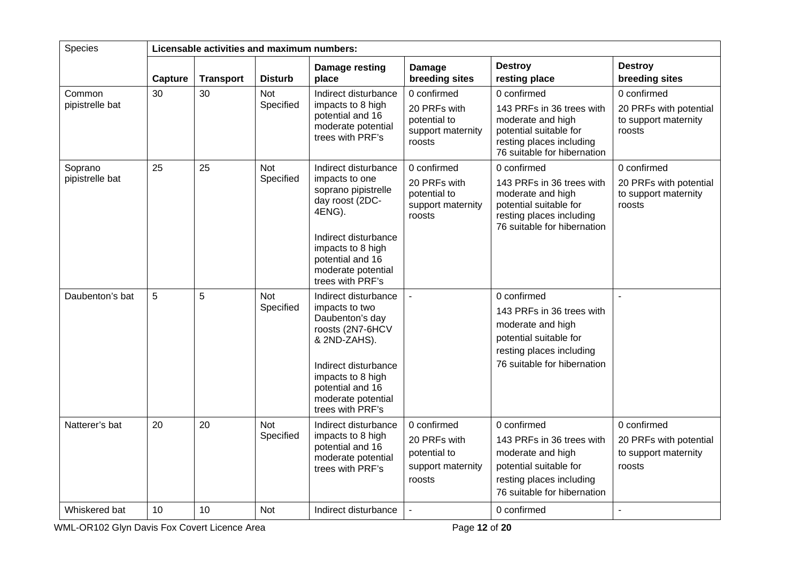| <b>Species</b>             |         | Licensable activities and maximum numbers: |                         |                                                                                                                                                                                                          |                                                                            |                                                                                                                                                    |                                                                         |  |  |  |
|----------------------------|---------|--------------------------------------------|-------------------------|----------------------------------------------------------------------------------------------------------------------------------------------------------------------------------------------------------|----------------------------------------------------------------------------|----------------------------------------------------------------------------------------------------------------------------------------------------|-------------------------------------------------------------------------|--|--|--|
|                            | Capture | <b>Transport</b>                           | <b>Disturb</b>          | Damage resting<br>place                                                                                                                                                                                  | Damage<br>breeding sites                                                   | <b>Destroy</b><br>resting place                                                                                                                    | <b>Destroy</b><br>breeding sites                                        |  |  |  |
| Common<br>pipistrelle bat  | 30      | 30                                         | Not<br>Specified        | Indirect disturbance<br>impacts to 8 high<br>potential and 16<br>moderate potential<br>trees with PRF's                                                                                                  | 0 confirmed<br>20 PRFs with<br>potential to<br>support maternity<br>roosts | 0 confirmed<br>143 PRFs in 36 trees with<br>moderate and high<br>potential suitable for<br>resting places including<br>76 suitable for hibernation | 0 confirmed<br>20 PRFs with potential<br>to support maternity<br>roosts |  |  |  |
| Soprano<br>pipistrelle bat | 25      | 25                                         | <b>Not</b><br>Specified | Indirect disturbance<br>impacts to one<br>soprano pipistrelle<br>day roost (2DC-<br>4ENG).<br>Indirect disturbance<br>impacts to 8 high<br>potential and 16<br>moderate potential<br>trees with PRF's    | 0 confirmed<br>20 PRFs with<br>potential to<br>support maternity<br>roosts | 0 confirmed<br>143 PRFs in 36 trees with<br>moderate and high<br>potential suitable for<br>resting places including<br>76 suitable for hibernation | 0 confirmed<br>20 PRFs with potential<br>to support maternity<br>roosts |  |  |  |
| Daubenton's bat            | 5       | $\overline{5}$                             | <b>Not</b><br>Specified | Indirect disturbance<br>impacts to two<br>Daubenton's day<br>roosts (2N7-6HCV<br>& 2ND-ZAHS).<br>Indirect disturbance<br>impacts to 8 high<br>potential and 16<br>moderate potential<br>trees with PRF's |                                                                            | 0 confirmed<br>143 PRFs in 36 trees with<br>moderate and high<br>potential suitable for<br>resting places including<br>76 suitable for hibernation |                                                                         |  |  |  |
| Natterer's bat             | 20      | 20                                         | <b>Not</b><br>Specified | Indirect disturbance<br>impacts to 8 high<br>potential and 16<br>moderate potential<br>trees with PRF's                                                                                                  | 0 confirmed<br>20 PRFs with<br>potential to<br>support maternity<br>roosts | 0 confirmed<br>143 PRFs in 36 trees with<br>moderate and high<br>potential suitable for<br>resting places including<br>76 suitable for hibernation | 0 confirmed<br>20 PRFs with potential<br>to support maternity<br>roosts |  |  |  |
| Whiskered bat              | 10      | 10                                         | <b>Not</b>              | Indirect disturbance                                                                                                                                                                                     |                                                                            | 0 confirmed                                                                                                                                        | L,                                                                      |  |  |  |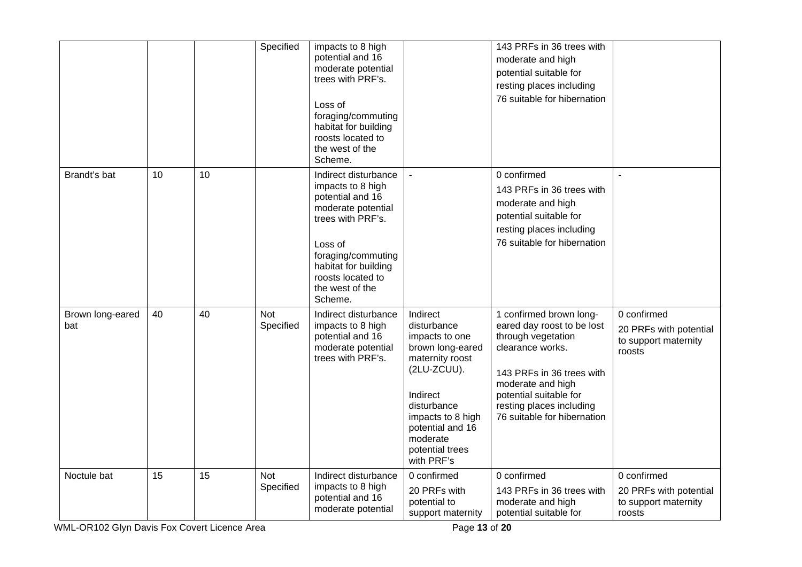|                         |    |    | Specified               | impacts to 8 high<br>potential and 16<br>moderate potential<br>trees with PRF's.<br>Loss of<br>foraging/commuting<br>habitat for building<br>roosts located to<br>the west of the<br>Scheme.                         |                                                                                                                                                                                                                  | 143 PRFs in 36 trees with<br>moderate and high<br>potential suitable for<br>resting places including<br>76 suitable for hibernation                                                                                                    |                                                                         |
|-------------------------|----|----|-------------------------|----------------------------------------------------------------------------------------------------------------------------------------------------------------------------------------------------------------------|------------------------------------------------------------------------------------------------------------------------------------------------------------------------------------------------------------------|----------------------------------------------------------------------------------------------------------------------------------------------------------------------------------------------------------------------------------------|-------------------------------------------------------------------------|
| Brandt's bat            | 10 | 10 |                         | Indirect disturbance<br>impacts to 8 high<br>potential and 16<br>moderate potential<br>trees with PRF's.<br>Loss of<br>foraging/commuting<br>habitat for building<br>roosts located to<br>the west of the<br>Scheme. |                                                                                                                                                                                                                  | 0 confirmed<br>143 PRFs in 36 trees with<br>moderate and high<br>potential suitable for<br>resting places including<br>76 suitable for hibernation                                                                                     |                                                                         |
| Brown long-eared<br>bat | 40 | 40 | <b>Not</b><br>Specified | Indirect disturbance<br>impacts to 8 high<br>potential and 16<br>moderate potential<br>trees with PRF's.                                                                                                             | Indirect<br>disturbance<br>impacts to one<br>brown long-eared<br>maternity roost<br>(2LU-ZCUU).<br>Indirect<br>disturbance<br>impacts to 8 high<br>potential and 16<br>moderate<br>potential trees<br>with PRF's | 1 confirmed brown long-<br>eared day roost to be lost<br>through vegetation<br>clearance works.<br>143 PRFs in 36 trees with<br>moderate and high<br>potential suitable for<br>resting places including<br>76 suitable for hibernation | 0 confirmed<br>20 PRFs with potential<br>to support maternity<br>roosts |
| Noctule bat             | 15 | 15 | <b>Not</b><br>Specified | Indirect disturbance<br>impacts to 8 high<br>potential and 16<br>moderate potential                                                                                                                                  | 0 confirmed<br>20 PRFs with<br>potential to<br>support maternity                                                                                                                                                 | 0 confirmed<br>143 PRFs in 36 trees with<br>moderate and high<br>potential suitable for                                                                                                                                                | 0 confirmed<br>20 PRFs with potential<br>to support maternity<br>roosts |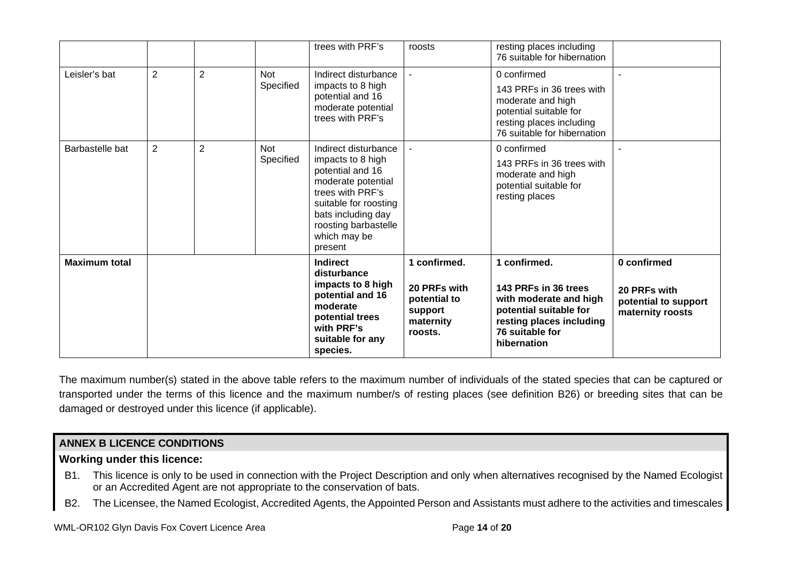|                      |                |                |                         | trees with PRF's                                                                                                                                                                                          | roosts                                                                          | resting places including<br>76 suitable for hibernation                                                                                                |                                                                         |
|----------------------|----------------|----------------|-------------------------|-----------------------------------------------------------------------------------------------------------------------------------------------------------------------------------------------------------|---------------------------------------------------------------------------------|--------------------------------------------------------------------------------------------------------------------------------------------------------|-------------------------------------------------------------------------|
| Leisler's bat        | $\overline{2}$ | $\overline{2}$ | <b>Not</b><br>Specified | Indirect disturbance<br>impacts to 8 high<br>potential and 16<br>moderate potential<br>trees with PRF's                                                                                                   |                                                                                 | 0 confirmed<br>143 PRFs in 36 trees with<br>moderate and high<br>potential suitable for<br>resting places including<br>76 suitable for hibernation     |                                                                         |
| Barbastelle bat      | $\overline{2}$ | $\overline{2}$ | <b>Not</b><br>Specified | Indirect disturbance<br>impacts to 8 high<br>potential and 16<br>moderate potential<br>trees with PRF's<br>suitable for roosting<br>bats including day<br>roosting barbastelle<br>which may be<br>present |                                                                                 | 0 confirmed<br>143 PRFs in 36 trees with<br>moderate and high<br>potential suitable for<br>resting places                                              |                                                                         |
| <b>Maximum total</b> |                |                |                         | <b>Indirect</b><br>disturbance<br>impacts to 8 high<br>potential and 16<br>moderate<br>potential trees<br>with PRF's<br>suitable for any<br>species.                                                      | 1 confirmed.<br>20 PRFs with<br>potential to<br>support<br>maternity<br>roosts. | 1 confirmed.<br>143 PRFs in 36 trees<br>with moderate and high<br>potential suitable for<br>resting places including<br>76 suitable for<br>hibernation | 0 confirmed<br>20 PRFs with<br>potential to support<br>maternity roosts |

The maximum number(s) stated in the above table refers to the maximum number of individuals of the stated species that can be captured or transported under the terms of this licence and the maximum number/s of resting places (see definition B26) or breeding sites that can be damaged or destroyed under this licence (if applicable).

# **ANNEX B LICENCE CONDITIONS**

## **Working under this licence:**

- B1. This licence is only to be used in connection with the Project Description and only when alternatives recognised by the Named Ecologist or an Accredited Agent are not appropriate to the conservation of bats.
- B2. The Licensee, the Named Ecologist, Accredited Agents, the Appointed Person and Assistants must adhere to the activities and timescales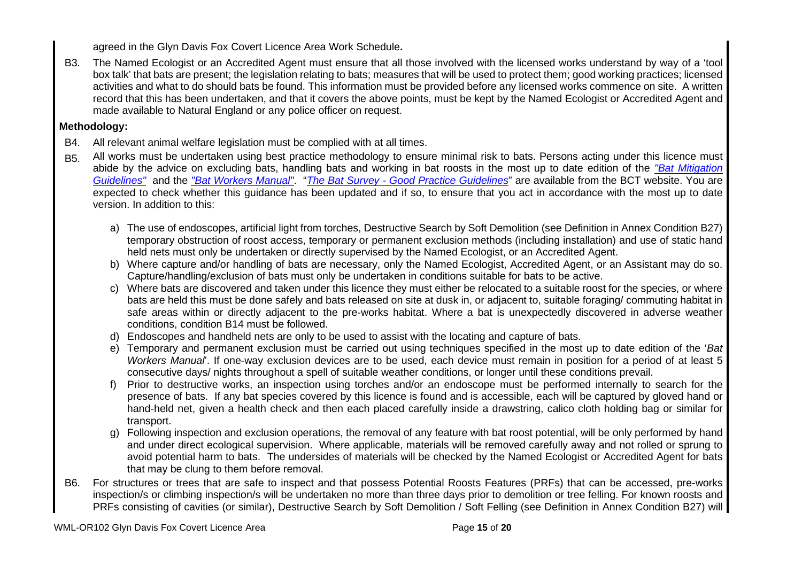agreed in the Glyn Davis Fox Covert Licence Area Work Schedule**.**

B3. The Named Ecologist or an Accredited Agent must ensure that all those involved with the licensed works understand by way of a 'tool box talk' that bats are present; the legislation relating to bats; measures that will be used to protect them; good working practices; licensed activities and what to do should bats be found. This information must be provided before any licensed works commence on site. A written record that this has been undertaken, and that it covers the above points, must be kept by the Named Ecologist or Accredited Agent and made available to Natural England or any police officer on request.

# **Methodology:**

- B4. All relevant animal welfare legislation must be complied with at all times.
- B5. All works must be undertaken using best practice methodology to ensure minimal risk to bats. Persons acting under this licence must abide by the advice on excluding bats, handling bats and working in bat roosts in the most up to date edition of the *"Bat Mitigation Guidelines"* and the *"Bat Workers Manual"*. "*The Bat Survey - Good Practice Guidelines*" are available from the BCT website. You are expected to check whether this guidance has been updated and if so, to ensure that you act in accordance with the most up to date version. In addition to this:
	- a) The use of endoscopes, artificial light from torches, Destructive Search by Soft Demolition (see Definition in Annex Condition B27) temporary obstruction of roost access, temporary or permanent exclusion methods (including installation) and use of static hand held nets must only be undertaken or directly supervised by the Named Ecologist, or an Accredited Agent.
	- b) Where capture and/or handling of bats are necessary, only the Named Ecologist, Accredited Agent, or an Assistant may do so. Capture/handling/exclusion of bats must only be undertaken in conditions suitable for bats to be active.
	- c) Where bats are discovered and taken under this licence they must either be relocated to a suitable roost for the species, or where bats are held this must be done safely and bats released on site at dusk in, or adjacent to, suitable foraging/ commuting habitat in safe areas within or directly adjacent to the pre-works habitat. Where a bat is unexpectedly discovered in adverse weather conditions, condition B14 must be followed.
	- d) Endoscopes and handheld nets are only to be used to assist with the locating and capture of bats.
	- e) Temporary and permanent exclusion must be carried out using techniques specified in the most up to date edition of the '*Bat Workers Manual*'. If one-way exclusion devices are to be used, each device must remain in position for a period of at least 5 consecutive days/ nights throughout a spell of suitable weather conditions, or longer until these conditions prevail.
	- f) Prior to destructive works, an inspection using torches and/or an endoscope must be performed internally to search for the presence of bats. If any bat species covered by this licence is found and is accessible, each will be captured by gloved hand or hand-held net, given a health check and then each placed carefully inside a drawstring, calico cloth holding bag or similar for transport.
	- g) Following inspection and exclusion operations, the removal of any feature with bat roost potential, will be only performed by hand and under direct ecological supervision. Where applicable, materials will be removed carefully away and not rolled or sprung to avoid potential harm to bats. The undersides of materials will be checked by the Named Ecologist or Accredited Agent for bats that may be clung to them before removal.
- B6. For structures or trees that are safe to inspect and that possess Potential Roosts Features (PRFs) that can be accessed, pre-works inspection/s or climbing inspection/s will be undertaken no more than three days prior to demolition or tree felling. For known roosts and PRFs consisting of cavities (or similar), Destructive Search by Soft Demolition / Soft Felling (see Definition in Annex Condition B27) will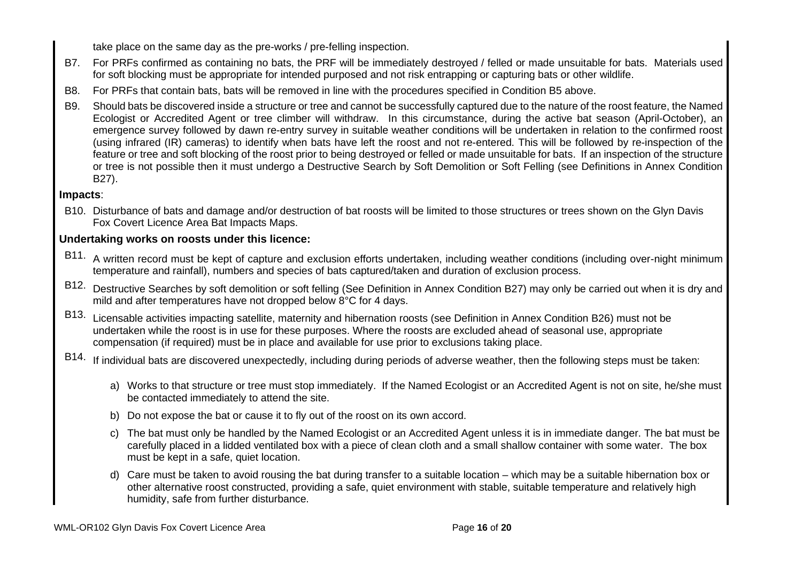take place on the same day as the pre-works / pre-felling inspection.

- B7. For PRFs confirmed as containing no bats, the PRF will be immediately destroyed / felled or made unsuitable for bats. Materials used for soft blocking must be appropriate for intended purposed and not risk entrapping or capturing bats or other wildlife.
- B8. For PRFs that contain bats, bats will be removed in line with the procedures specified in Condition B5 above.
- B9. Should bats be discovered inside a structure or tree and cannot be successfully captured due to the nature of the roost feature, the Named Ecologist or Accredited Agent or tree climber will withdraw. In this circumstance, during the active bat season (April-October), an emergence survey followed by dawn re-entry survey in suitable weather conditions will be undertaken in relation to the confirmed roost (using infrared (IR) cameras) to identify when bats have left the roost and not re-entered. This will be followed by re-inspection of the feature or tree and soft blocking of the roost prior to being destroyed or felled or made unsuitable for bats. If an inspection of the structure or tree is not possible then it must undergo a Destructive Search by Soft Demolition or Soft Felling (see Definitions in Annex Condition B27).

# **Impacts**:

B10. Disturbance of bats and damage and/or destruction of bat roosts will be limited to those structures or trees shown on the Glyn Davis Fox Covert Licence Area Bat Impacts Maps.

# **Undertaking works on roosts under this licence:**

- B11. A written record must be kept of capture and exclusion efforts undertaken, including weather conditions (including over-night minimum temperature and rainfall), numbers and species of bats captured/taken and duration of exclusion process.
- B12. Destructive Searches by soft demolition or soft felling (See Definition in Annex Condition B27) may only be carried out when it is dry and mild and after temperatures have not dropped below 8°C for 4 days.
- B13. Licensable activities impacting satellite, maternity and hibernation roosts (see Definition in Annex Condition B26) must not be undertaken while the roost is in use for these purposes. Where the roosts are excluded ahead of seasonal use, appropriate compensation (if required) must be in place and available for use prior to exclusions taking place.
- B14. If individual bats are discovered unexpectedly, including during periods of adverse weather, then the following steps must be taken:
	- a) Works to that structure or tree must stop immediately. If the Named Ecologist or an Accredited Agent is not on site, he/she must be contacted immediately to attend the site.
	- b) Do not expose the bat or cause it to fly out of the roost on its own accord.
	- c) The bat must only be handled by the Named Ecologist or an Accredited Agent unless it is in immediate danger. The bat must be carefully placed in a lidded ventilated box with a piece of clean cloth and a small shallow container with some water. The box must be kept in a safe, quiet location.
	- d) Care must be taken to avoid rousing the bat during transfer to a suitable location which may be a suitable hibernation box or other alternative roost constructed, providing a safe, quiet environment with stable, suitable temperature and relatively high humidity, safe from further disturbance.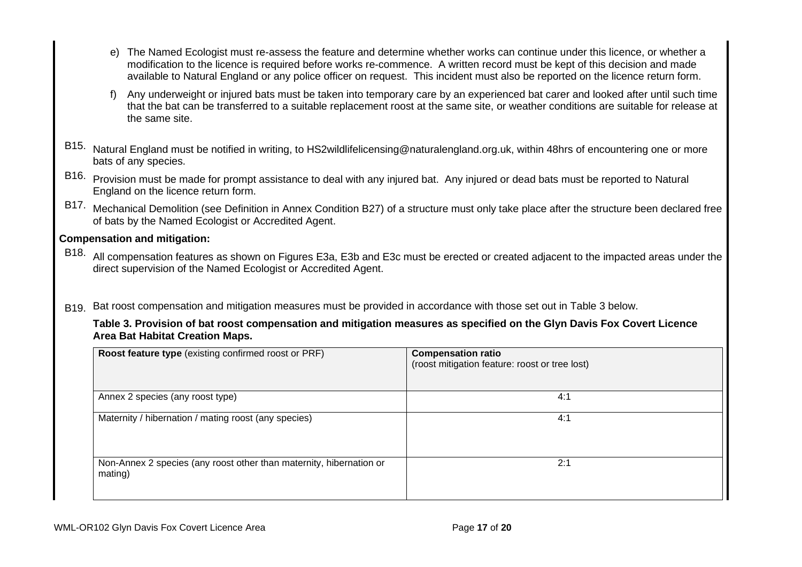- e) The Named Ecologist must re-assess the feature and determine whether works can continue under this licence, or whether a modification to the licence is required before works re-commence. A written record must be kept of this decision and made available to Natural England or any police officer on request. This incident must also be reported on the licence return form.
- f) Any underweight or injured bats must be taken into temporary care by an experienced bat carer and looked after until such time that the bat can be transferred to a suitable replacement roost at the same site, or weather conditions are suitable for release at the same site.
- B15. Natural England must be notified in writing, to HS2wildlifelicensing@naturalengland.org.uk, within 48hrs of encountering one or more bats of any species.
- B16. Provision must be made for prompt assistance to deal with any injured bat. Any injured or dead bats must be reported to Natural England on the licence return form.
- B17. Mechanical Demolition (see Definition in Annex Condition B27) of a structure must only take place after the structure been declared free of bats by the Named Ecologist or Accredited Agent.

## **Compensation and mitigation:**

- B18. All compensation features as shown on Figures E3a, E3b and E3c must be erected or created adjacent to the impacted areas under the direct supervision of the Named Ecologist or Accredited Agent.
- B<sub>19.</sub> Bat roost compensation and mitigation measures must be provided in accordance with those set out in Table 3 below.

| Table 3. Provision of bat roost compensation and mitigation measures as specified on the Glyn Davis Fox Covert Licence |
|------------------------------------------------------------------------------------------------------------------------|
| Area Bat Habitat Creation Maps.                                                                                        |

| Roost feature type (existing confirmed roost or PRF)                           | <b>Compensation ratio</b><br>(roost mitigation feature: roost or tree lost) |
|--------------------------------------------------------------------------------|-----------------------------------------------------------------------------|
| Annex 2 species (any roost type)                                               | 4:1                                                                         |
| Maternity / hibernation / mating roost (any species)                           | 4:1                                                                         |
| Non-Annex 2 species (any roost other than maternity, hibernation or<br>mating) | 2:1                                                                         |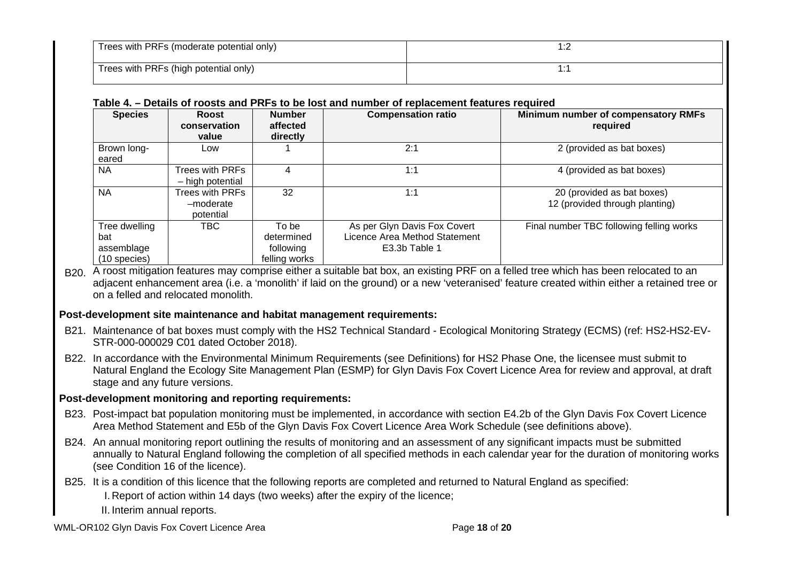| Trees with PRFs (moderate potential only) |  |
|-------------------------------------------|--|
| Trees with PRFs (high potential only)     |  |

## **Table 4. – Details of roosts and PRFs to be lost and number of replacement features required**

| <b>Species</b>                                       | Roost<br>conservation<br>value            | <b>Number</b><br>affected<br>directly             | <b>Compensation ratio</b>                                                      | Minimum number of compensatory RMFs<br>required              |
|------------------------------------------------------|-------------------------------------------|---------------------------------------------------|--------------------------------------------------------------------------------|--------------------------------------------------------------|
| Brown long-<br>eared                                 | Low                                       |                                                   | 2:1                                                                            | 2 (provided as bat boxes)                                    |
| NA.                                                  | Trees with PRFs<br>- high potential       |                                                   | 1:1                                                                            | 4 (provided as bat boxes)                                    |
| <b>NA</b>                                            | Trees with PRFs<br>-moderate<br>potential | 32                                                | 1:1                                                                            | 20 (provided as bat boxes)<br>12 (provided through planting) |
| Tree dwelling<br>bat<br>assemblage<br>$(10$ species) | TBC                                       | To be<br>determined<br>following<br>felling works | As per Glyn Davis Fox Covert<br>Licence Area Method Statement<br>E3.3b Table 1 | Final number TBC following felling works                     |

B<sub>20.</sub> A roost mitigation features may comprise either a suitable bat box, an existing PRF on a felled tree which has been relocated to an adjacent enhancement area (i.e. a 'monolith' if laid on the ground) or a new 'veteranised' feature created within either a retained tree or on a felled and relocated monolith.

## **Post-development site maintenance and habitat management requirements:**

- B21. Maintenance of bat boxes must comply with the HS2 Technical Standard Ecological Monitoring Strategy (ECMS) (ref: HS2-HS2-EV-STR-000-000029 C01 dated October 2018).
- B22. In accordance with the Environmental Minimum Requirements (see Definitions) for HS2 Phase One, the licensee must submit to Natural England the Ecology Site Management Plan (ESMP) for Glyn Davis Fox Covert Licence Area for review and approval, at draft stage and any future versions.

## **Post-development monitoring and reporting requirements:**

- B23. Post-impact bat population monitoring must be implemented, in accordance with section E4.2b of the Glyn Davis Fox Covert Licence Area Method Statement and E5b of the Glyn Davis Fox Covert Licence Area Work Schedule (see definitions above).
- B24. An annual monitoring report outlining the results of monitoring and an assessment of any significant impacts must be submitted annually to Natural England following the completion of all specified methods in each calendar year for the duration of monitoring works (see Condition 16 of the licence).
- B25. It is a condition of this licence that the following reports are completed and returned to Natural England as specified:

I. Report of action within 14 days (two weeks) after the expiry of the licence;

II. Interim annual reports.

WML-OR102 Glyn Davis Fox Covert Licence Area **Page 18** of **20** Page 18 of **20**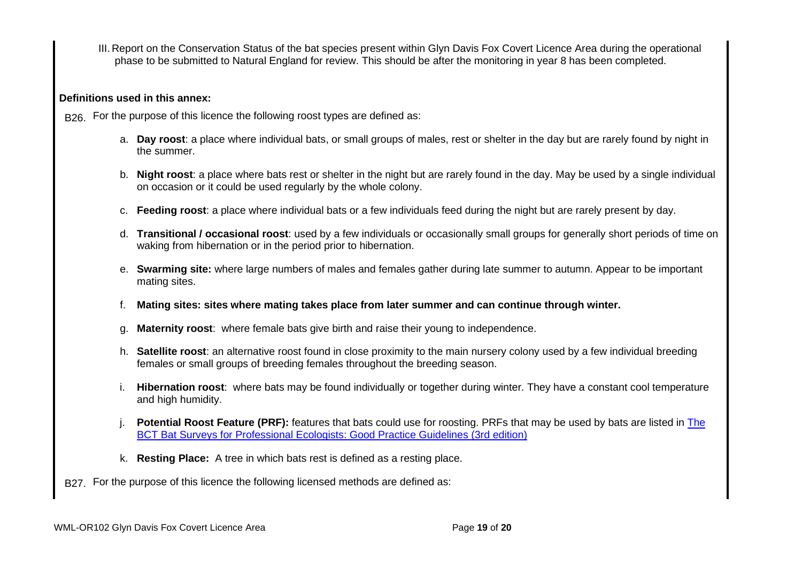III. Report on the Conservation Status of the bat species present within Glyn Davis Fox Covert Licence Area during the operational phase to be submitted to Natural England for review. This should be after the monitoring in year 8 has been completed.

## **Definitions used in this annex:**

B<sub>26</sub>. For the purpose of this licence the following roost types are defined as:

- a. **Day roost**: a place where individual bats, or small groups of males, rest or shelter in the day but are rarely found by night in the summer.
- b. **Night roost**: a place where bats rest or shelter in the night but are rarely found in the day. May be used by a single individual on occasion or it could be used regularly by the whole colony.
- c. **Feeding roost**: a place where individual bats or a few individuals feed during the night but are rarely present by day.
- d. **Transitional / occasional roost**: used by a few individuals or occasionally small groups for generally short periods of time on waking from hibernation or in the period prior to hibernation.
- e. **Swarming site:** where large numbers of males and females gather during late summer to autumn. Appear to be important mating sites.
- f. **Mating sites: sites where mating takes place from later summer and can continue through winter.**
- g. **Maternity roost**: where female bats give birth and raise their young to independence.
- h. **Satellite roost**: an alternative roost found in close proximity to the main nursery colony used by a few individual breeding females or small groups of breeding females throughout the breeding season.
- i. **Hibernation roost**: where bats may be found individually or together during winter. They have a constant cool temperature and high humidity.
- j. **Potential Roost Feature (PRF):** features that bats could use for roosting. PRFs that may be used by bats are listed in The BCT Bat Surveys for Professional Ecologists: Good Practice Guidelines (3rd edition)
- k. **Resting Place:** A tree in which bats rest is defined as a resting place.
- B27. For the purpose of this licence the following licensed methods are defined as: